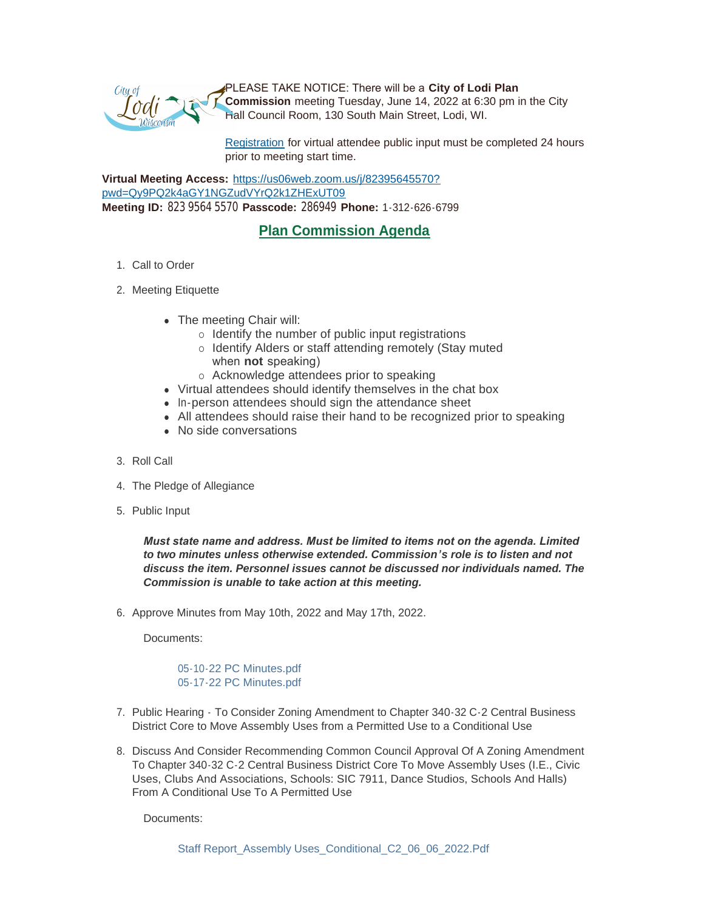

PLEASE TAKE NOTICE: There will be a **City of Lodi Plan Commission** meeting Tuesday, June 14, 2022 at 6:30 pm in the City Hall Council Room, 130 South Main Street, Lodi, WI.

[Registration](https://www.cityoflodi.us/CivicAlerts.aspx?AID=467) for virtual attendee public input must be completed 24 hours prior to meeting start time.

**Virtual Meeting Access:** [https://us06web.zoom.us/j/82395645570?](https://us06web.zoom.us/j/82395645570?pwd=Qy9PQ2k4aGY1NGZudVYrQ2k1ZHExUT09) pwd=Qy9PQ2k4aGY1NGZudVYrQ2k1ZHExUT09 **Meeting ID:** 823 9564 5570 **Passcode:** 286949 **Phone:** 1-312-626-6799

## **Plan Commission Agenda**

- 1. Call to Order
- 2. Meeting Etiquette
	- The meeting Chair will:
		- $\circ$  Identify the number of public input registrations
		- o Identify Alders or staff attending remotely (Stay muted when **not** speaking)
		- o Acknowledge attendees prior to speaking
	- Virtual attendees should identify themselves in the chat box
	- In-person attendees should sign the attendance sheet
	- All attendees should raise their hand to be recognized prior to speaking
	- No side conversations
- 3. Roll Call
- 4. The Pledge of Allegiance
- 5. Public Input

*Must state name and address. Must be limited to items not on the agenda. Limited to two minutes unless otherwise extended. Commission's role is to listen and not discuss the item. Personnel issues cannot be discussed nor individuals named. The Commission is unable to take action at this meeting.*

6. Approve Minutes from May 10th, 2022 and May 17th, 2022.

Documents:

[05-10-22 PC Minutes.pdf](http://www.cityoflodi.us/AgendaCenter/ViewFile/Item/15252?fileID=12129) [05-17-22 PC Minutes.pdf](http://www.cityoflodi.us/AgendaCenter/ViewFile/Item/15252?fileID=12130)

- 7. Public Hearing To Consider Zoning Amendment to Chapter 340-32 C-2 Central Business District Core to Move Assembly Uses from a Permitted Use to a Conditional Use
- 8. Discuss And Consider Recommending Common Council Approval Of A Zoning Amendment To Chapter 340-32 C-2 Central Business District Core To Move Assembly Uses (I.E., Civic Uses, Clubs And Associations, Schools: SIC 7911, Dance Studios, Schools And Halls) From A Conditional Use To A Permitted Use

Documents: